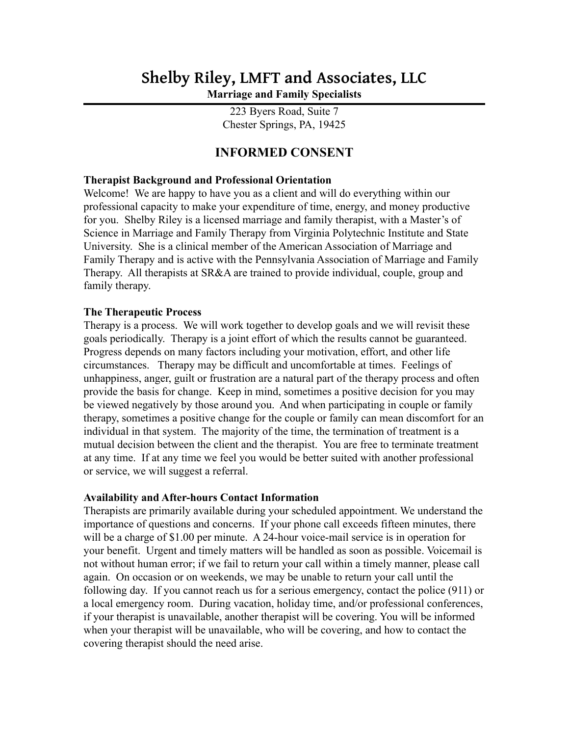# **Shelby Riley, LMFT and Associates, LLC Marriage and Family Specialists**

223 Byers Road, Suite 7 Chester Springs, PA, 19425

# **INFORMED CONSENT**

# **Therapist Background and Professional Orientation**

Welcome! We are happy to have you as a client and will do everything within our professional capacity to make your expenditure of time, energy, and money productive for you. Shelby Riley is a licensed marriage and family therapist, with a Master's of Science in Marriage and Family Therapy from Virginia Polytechnic Institute and State University. She is a clinical member of the American Association of Marriage and Family Therapy and is active with the Pennsylvania Association of Marriage and Family Therapy. All therapists at SR&A are trained to provide individual, couple, group and family therapy.

#### **The Therapeutic Process**

Therapy is a process. We will work together to develop goals and we will revisit these goals periodically. Therapy is a joint effort of which the results cannot be guaranteed. Progress depends on many factors including your motivation, effort, and other life circumstances. Therapy may be difficult and uncomfortable at times. Feelings of unhappiness, anger, guilt or frustration are a natural part of the therapy process and often provide the basis for change. Keep in mind, sometimes a positive decision for you may be viewed negatively by those around you. And when participating in couple or family therapy, sometimes a positive change for the couple or family can mean discomfort for an individual in that system. The majority of the time, the termination of treatment is a mutual decision between the client and the therapist. You are free to terminate treatment at any time. If at any time we feel you would be better suited with another professional or service, we will suggest a referral.

#### **Availability and After-hours Contact Information**

Therapists are primarily available during your scheduled appointment. We understand the importance of questions and concerns. If your phone call exceeds fifteen minutes, there will be a charge of \$1.00 per minute. A 24-hour voice-mail service is in operation for your benefit. Urgent and timely matters will be handled as soon as possible. Voicemail is not without human error; if we fail to return your call within a timely manner, please call again. On occasion or on weekends, we may be unable to return your call until the following day. If you cannot reach us for a serious emergency, contact the police (911) or a local emergency room. During vacation, holiday time, and/or professional conferences, if your therapist is unavailable, another therapist will be covering. You will be informed when your therapist will be unavailable, who will be covering, and how to contact the covering therapist should the need arise.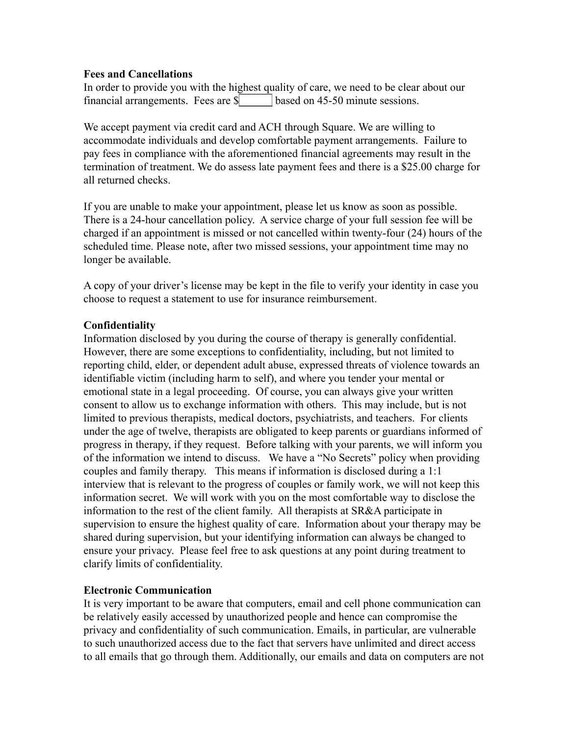#### **Fees and Cancellations**

In order to provide you with the highest quality of care, we need to be clear about our financial arrangements. Fees are \$**\_\_\_\_\_\_** based on 45-50 minute sessions.

We accept payment via credit card and ACH through Square. We are willing to accommodate individuals and develop comfortable payment arrangements. Failure to pay fees in compliance with the aforementioned financial agreements may result in the termination of treatment. We do assess late payment fees and there is a \$25.00 charge for all returned checks.

If you are unable to make your appointment, please let us know as soon as possible. There is a 24-hour cancellation policy. A service charge of your full session fee will be charged if an appointment is missed or not cancelled within twenty-four (24) hours of the scheduled time. Please note, after two missed sessions, your appointment time may no longer be available.

A copy of your driver's license may be kept in the file to verify your identity in case you choose to request a statement to use for insurance reimbursement.

# **Confidentiality**

Information disclosed by you during the course of therapy is generally confidential. However, there are some exceptions to confidentiality, including, but not limited to reporting child, elder, or dependent adult abuse, expressed threats of violence towards an identifiable victim (including harm to self), and where you tender your mental or emotional state in a legal proceeding. Of course, you can always give your written consent to allow us to exchange information with others. This may include, but is not limited to previous therapists, medical doctors, psychiatrists, and teachers. For clients under the age of twelve, therapists are obligated to keep parents or guardians informed of progress in therapy, if they request. Before talking with your parents, we will inform you of the information we intend to discuss. We have a "No Secrets" policy when providing couples and family therapy. This means if information is disclosed during a 1:1 interview that is relevant to the progress of couples or family work, we will not keep this information secret. We will work with you on the most comfortable way to disclose the information to the rest of the client family. All therapists at SR&A participate in supervision to ensure the highest quality of care. Information about your therapy may be shared during supervision, but your identifying information can always be changed to ensure your privacy. Please feel free to ask questions at any point during treatment to clarify limits of confidentiality.

# **Electronic Communication**

It is very important to be aware that computers, email and cell phone communication can be relatively easily accessed by unauthorized people and hence can compromise the privacy and confidentiality of such communication. Emails, in particular, are vulnerable to such unauthorized access due to the fact that servers have unlimited and direct access to all emails that go through them. Additionally, our emails and data on computers are not